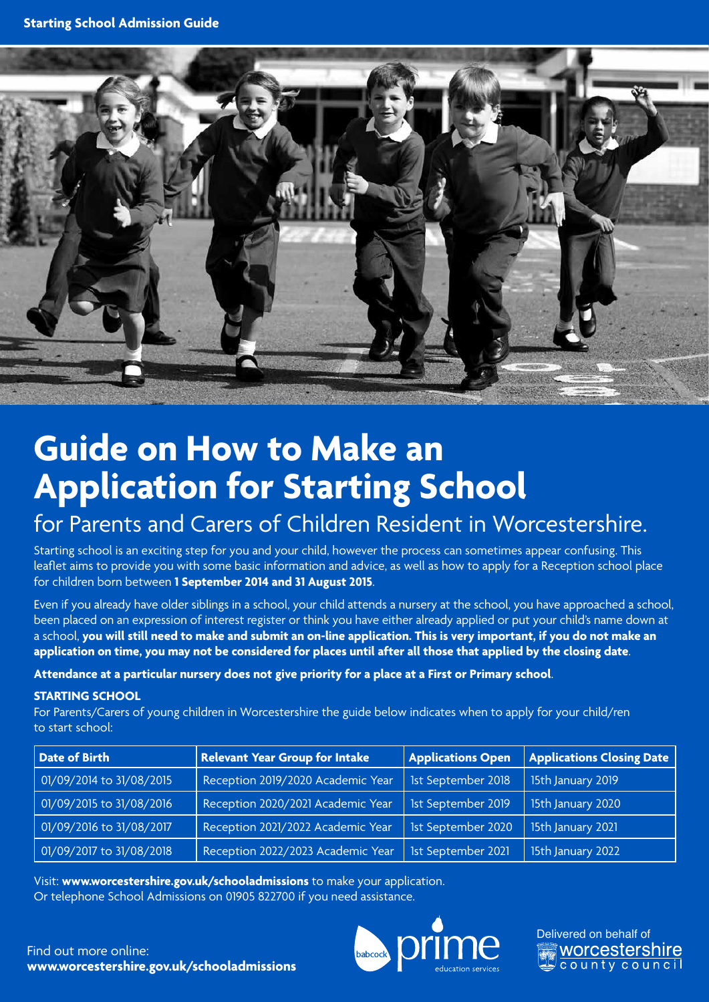

# **Guide on How to Make an Application for Starting School**

## for Parents and Carers of Children Resident in Worcestershire.

Starting school is an exciting step for you and your child, however the process can sometimes appear confusing. This leaflet aims to provide you with some basic information and advice, as well as how to apply for a Reception school place for children born between **1 September 2014 and 31 August 2015**.

Even if you already have older siblings in a school, your child attends a nursery at the school, you have approached a school, been placed on an expression of interest register or think you have either already applied or put your child's name down at a school, **you will still need to make and submit an on-line application. This is very important, if you do not make an application on time, you may not be considered for places until after all those that applied by the closing date**.

#### **Attendance at a particular nursery does not give priority for a place at a First or Primary school**.

#### **STARTING SCHOOL**

For Parents/Carers of young children in Worcestershire the guide below indicates when to apply for your child/ren to start school:

| Date of Birth            | <b>Relevant Year Group for Intake</b> | <b>Applications Open</b> | Applications Closing Date |
|--------------------------|---------------------------------------|--------------------------|---------------------------|
| 01/09/2014 to 31/08/2015 | Reception 2019/2020 Academic Year     | 1st September 2018       | 15th January 2019         |
| 01/09/2015 to 31/08/2016 | Reception 2020/2021 Academic Year     | 1st September 2019       | 15th January 2020         |
| 01/09/2016 to 31/08/2017 | Reception 2021/2022 Academic Year     | 1st September 2020       | 15th January 2021         |
| 01/09/2017 to 31/08/2018 | Reception 2022/2023 Academic Year     | 1st September 2021       | 15th January 2022         |

Visit: **www.worcestershire.gov.uk/schooladmissions** to make your application. Or telephone School Admissions on 01905 822700 if you need assistance.





Find out more online: **www.worcestershire.gov.uk/schooladmissions**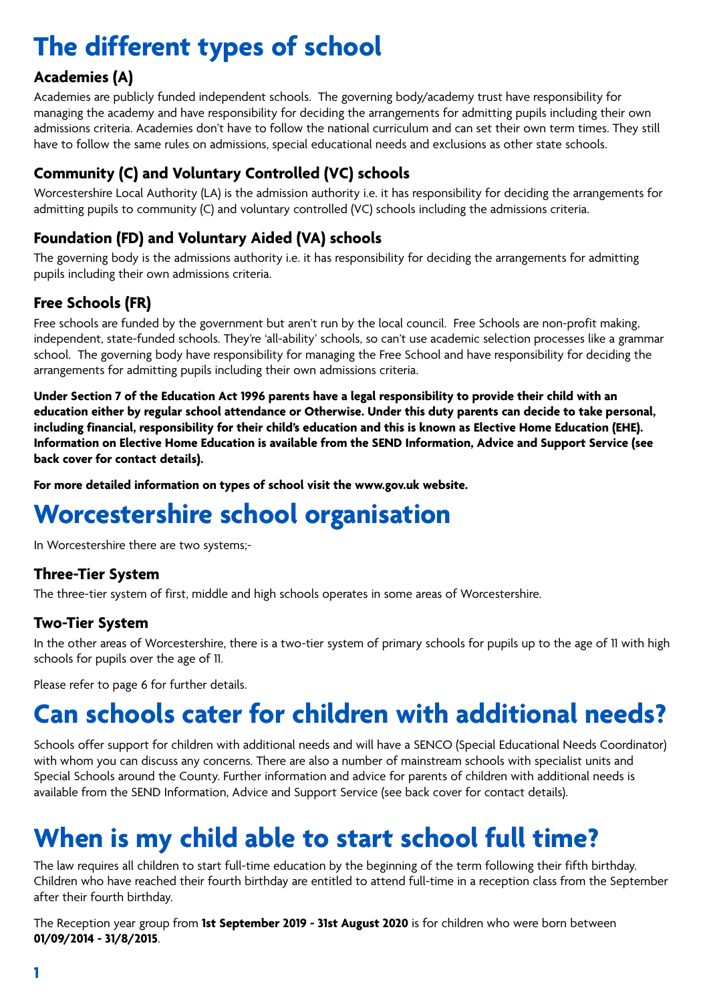# **The different types of school**

### **Academies (A)**

Academies are publicly funded independent schools. The governing body/academy trust have responsibility for managing the academy and have responsibility for deciding the arrangements for admitting pupils including their own admissions criteria. Academies don't have to follow the national curriculum and can set their own term times. They still have to follow the same rules on admissions, special educational needs and exclusions as other state schools.

## **Community (C) and Voluntary Controlled (VC) schools**

Worcestershire Local Authority (LA) is the admission authority i.e. it has responsibility for deciding the arrangements for admitting pupils to community (C) and voluntary controlled (VC) schools including the admissions criteria.

## **Foundation (FD) and Voluntary Aided (VA) schools**

The governing body is the admissions authority i.e. it has responsibility for deciding the arrangements for admitting pupils including their own admissions criteria.

### **Free Schools (FR)**

Free schools are funded by the government but aren't run by the local council. Free Schools are non-profit making, independent, state-funded schools. They're 'all-ability' schools, so can't use academic selection processes like a grammar school. The governing body have responsibility for managing the Free School and have responsibility for deciding the arrangements for admitting pupils including their own admissions criteria.

**Under Section 7 of the Education Act 1996 parents have a legal responsibility to provide their child with an education either by regular school attendance or Otherwise. Under this duty parents can decide to take personal, including financial, responsibility for their child's education and this is known as Elective Home Education (EHE). Information on Elective Home Education is available from the SEND Information, Advice and Support Service (see back cover for contact details).**

**For more detailed information on types of school visit the www.gov.uk website.**

## **Worcestershire school organisation**

In Worcestershire there are two systems;-

### **Three-Tier System**

The three-tier system of first, middle and high schools operates in some areas of Worcestershire.

### **Two-Tier System**

In the other areas of Worcestershire, there is a two-tier system of primary schools for pupils up to the age of 11 with high schools for pupils over the age of 11.

Please refer to page 6 for further details.

## **Can schools cater for children with additional needs?**

Schools offer support for children with additional needs and will have a SENCO (Special Educational Needs Coordinator) with whom you can discuss any concerns. There are also a number of mainstream schools with specialist units and Special Schools around the County. Further information and advice for parents of children with additional needs is available from the SEND Information, Advice and Support Service (see back cover for contact details).

# **When is my child able to start school full time?**

The law requires all children to start full-time education by the beginning of the term following their fifth birthday. Children who have reached their fourth birthday are entitled to attend full-time in a reception class from the September after their fourth birthday.

The Reception year group from **1st September 2019 - 31st August 2020** is for children who were born between **01/09/2014 - 31/8/2015**.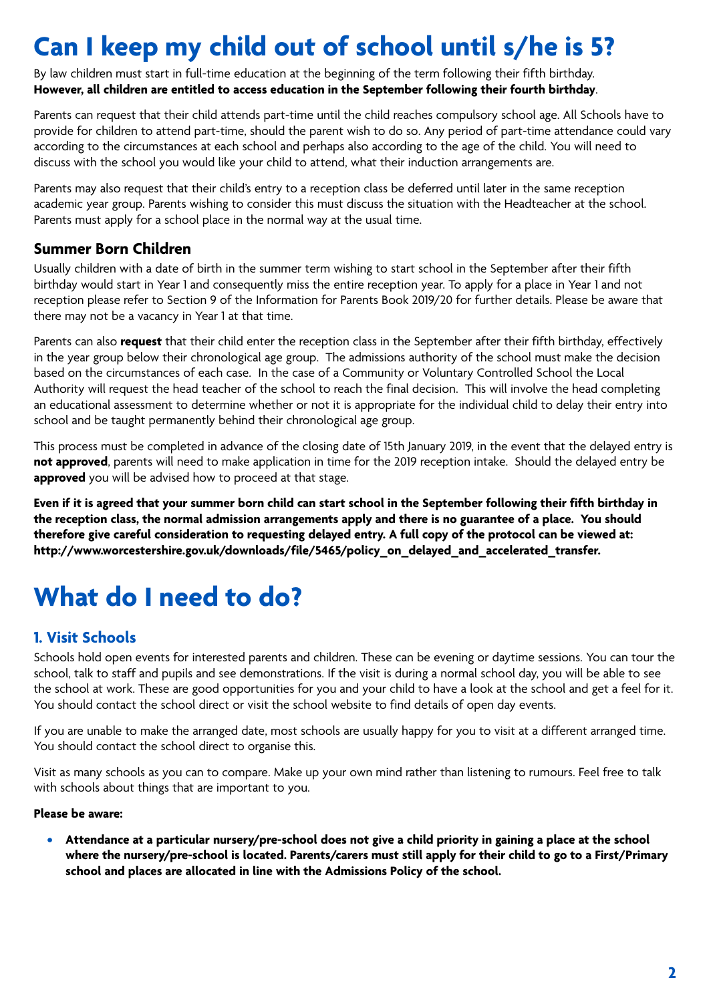# **Can I keep my child out of school until s/he is 5?**

By law children must start in full-time education at the beginning of the term following their fifth birthday. **However, all children are entitled to access education in the September following their fourth birthday**.

Parents can request that their child attends part-time until the child reaches compulsory school age. All Schools have to provide for children to attend part-time, should the parent wish to do so. Any period of part-time attendance could vary according to the circumstances at each school and perhaps also according to the age of the child. You will need to discuss with the school you would like your child to attend, what their induction arrangements are.

Parents may also request that their child's entry to a reception class be deferred until later in the same reception academic year group. Parents wishing to consider this must discuss the situation with the Headteacher at the school. Parents must apply for a school place in the normal way at the usual time.

### **Summer Born Children**

Usually children with a date of birth in the summer term wishing to start school in the September after their fifth birthday would start in Year 1 and consequently miss the entire reception year. To apply for a place in Year 1 and not reception please refer to Section 9 of the Information for Parents Book 2019/20 for further details. Please be aware that there may not be a vacancy in Year 1 at that time.

Parents can also **request** that their child enter the reception class in the September after their fifth birthday, effectively in the year group below their chronological age group. The admissions authority of the school must make the decision based on the circumstances of each case. In the case of a Community or Voluntary Controlled School the Local Authority will request the head teacher of the school to reach the final decision. This will involve the head completing an educational assessment to determine whether or not it is appropriate for the individual child to delay their entry into school and be taught permanently behind their chronological age group.

This process must be completed in advance of the closing date of 15th January 2019, in the event that the delayed entry is **not approved**, parents will need to make application in time for the 2019 reception intake. Should the delayed entry be **approved** you will be advised how to proceed at that stage.

**Even if it is agreed that your summer born child can start school in the September following their fifth birthday in the reception class, the normal admission arrangements apply and there is no guarantee of a place. You should therefore give careful consideration to requesting delayed entry. A full copy of the protocol can be viewed at: http://www.worcestershire.gov.uk/downloads/file/5465/policy\_on\_delayed\_and\_accelerated\_transfer.**

## **What do I need to do?**

### **1. Visit Schools**

Schools hold open events for interested parents and children. These can be evening or daytime sessions. You can tour the school, talk to staff and pupils and see demonstrations. If the visit is during a normal school day, you will be able to see the school at work. These are good opportunities for you and your child to have a look at the school and get a feel for it. You should contact the school direct or visit the school website to find details of open day events.

If you are unable to make the arranged date, most schools are usually happy for you to visit at a different arranged time. You should contact the school direct to organise this.

Visit as many schools as you can to compare. Make up your own mind rather than listening to rumours. Feel free to talk with schools about things that are important to you.

#### **Please be aware:**

**• Attendance at a particular nursery/pre-school does not give a child priority in gaining a place at the school where the nursery/pre-school is located. Parents/carers must still apply for their child to go to a First/Primary school and places are allocated in line with the Admissions Policy of the school.**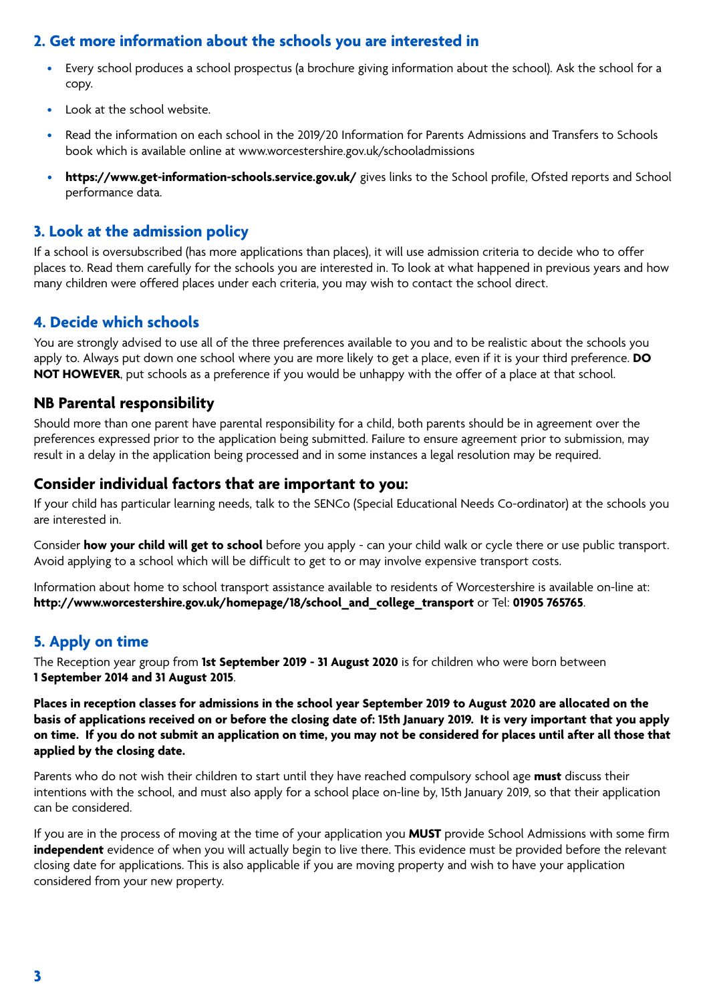### **2. Get more information about the schools you are interested in**

- Every school produces a school prospectus (a brochure giving information about the school). Ask the school for a copy.
- Look at the school website.
- Read the information on each school in the 2019/20 Information for Parents Admissions and Transfers to Schools book which is available online at www.worcestershire.gov.uk/schooladmissions
- **https://www.get-information-schools.service.gov.uk/** gives links to the School profile, Ofsted reports and School performance data.

#### **3. Look at the admission policy**

If a school is oversubscribed (has more applications than places), it will use admission criteria to decide who to offer places to. Read them carefully for the schools you are interested in. To look at what happened in previous years and how many children were offered places under each criteria, you may wish to contact the school direct.

#### **4. Decide which schools**

You are strongly advised to use all of the three preferences available to you and to be realistic about the schools you apply to. Always put down one school where you are more likely to get a place, even if it is your third preference. **DO NOT HOWEVER**, put schools as a preference if you would be unhappy with the offer of a place at that school.

#### **NB Parental responsibility**

Should more than one parent have parental responsibility for a child, both parents should be in agreement over the preferences expressed prior to the application being submitted. Failure to ensure agreement prior to submission, may result in a delay in the application being processed and in some instances a legal resolution may be required.

#### **Consider individual factors that are important to you:**

If your child has particular learning needs, talk to the SENCo (Special Educational Needs Co-ordinator) at the schools you are interested in.

Consider **how your child will get to school** before you apply - can your child walk or cycle there or use public transport. Avoid applying to a school which will be difficult to get to or may involve expensive transport costs.

Information about home to school transport assistance available to residents of Worcestershire is available on-line at: **http://www.worcestershire.gov.uk/homepage/18/school\_and\_college\_transport** or Tel: **01905 765765**.

### **5. Apply on time**

The Reception year group from **1st September 2019 - 31 August 2020** is for children who were born between **1 September 2014 and 31 August 2015**.

**Places in reception classes for admissions in the school year September 2019 to August 2020 are allocated on the basis of applications received on or before the closing date of: 15th January 2019. It is very important that you apply on time. If you do not submit an application on time, you may not be considered for places until after all those that applied by the closing date.**

Parents who do not wish their children to start until they have reached compulsory school age **must** discuss their intentions with the school, and must also apply for a school place on-line by, 15th January 2019, so that their application can be considered.

If you are in the process of moving at the time of your application you **MUST** provide School Admissions with some firm **independent** evidence of when you will actually begin to live there. This evidence must be provided before the relevant closing date for applications. This is also applicable if you are moving property and wish to have your application considered from your new property.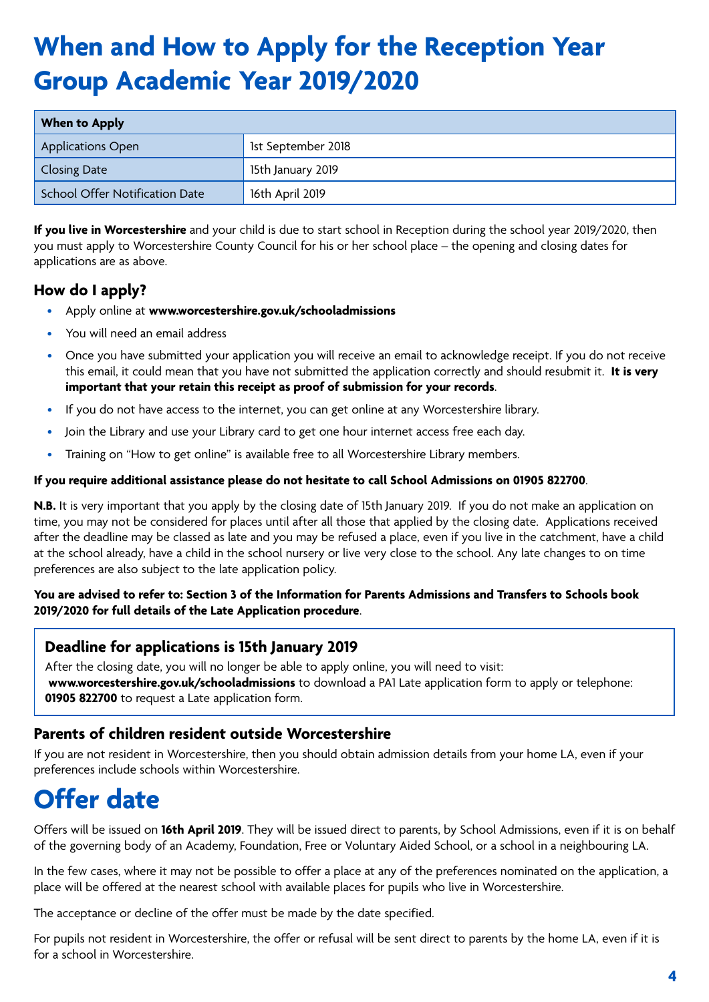# **When and How to Apply for the Reception Year Group Academic Year 2019/2020**

| When to Apply                  |                    |
|--------------------------------|--------------------|
| <b>Applications Open</b>       | 1st September 2018 |
| Closing Date                   | 15th January 2019  |
| School Offer Notification Date | 16th April 2019    |

**If you live in Worcestershire** and your child is due to start school in Reception during the school year 2019/2020, then you must apply to Worcestershire County Council for his or her school place – the opening and closing dates for applications are as above.

### **How do I apply?**

- Apply online at **www.worcestershire.gov.uk/schooladmissions**
- You will need an email address
- Once you have submitted your application you will receive an email to acknowledge receipt. If you do not receive this email, it could mean that you have not submitted the application correctly and should resubmit it. **It is very important that your retain this receipt as proof of submission for your records**.
- If you do not have access to the internet, you can get online at any Worcestershire library.
- Join the Library and use your Library card to get one hour internet access free each day.
- Training on "How to get online" is available free to all Worcestershire Library members.

#### **If you require additional assistance please do not hesitate to call School Admissions on 01905 822700**.

**N.B.** It is very important that you apply by the closing date of 15th January 2019. If you do not make an application on time, you may not be considered for places until after all those that applied by the closing date. Applications received after the deadline may be classed as late and you may be refused a place, even if you live in the catchment, have a child at the school already, have a child in the school nursery or live very close to the school. Any late changes to on time preferences are also subject to the late application policy.

#### **You are advised to refer to: Section 3 of the Information for Parents Admissions and Transfers to Schools book 2019/2020 for full details of the Late Application procedure**.

#### **Deadline for applications is 15th January 2019**

After the closing date, you will no longer be able to apply online, you will need to visit: **www.worcestershire.gov.uk/schooladmissions** to download a PA1 Late application form to apply or telephone: **01905 822700** to request a Late application form.

#### **Parents of children resident outside Worcestershire**

If you are not resident in Worcestershire, then you should obtain admission details from your home LA, even if your preferences include schools within Worcestershire.

## **Offer date**

Offers will be issued on **16th April 2019**. They will be issued direct to parents, by School Admissions, even if it is on behalf of the governing body of an Academy, Foundation, Free or Voluntary Aided School, or a school in a neighbouring LA.

In the few cases, where it may not be possible to offer a place at any of the preferences nominated on the application, a place will be offered at the nearest school with available places for pupils who live in Worcestershire.

The acceptance or decline of the offer must be made by the date specified.

For pupils not resident in Worcestershire, the offer or refusal will be sent direct to parents by the home LA, even if it is for a school in Worcestershire.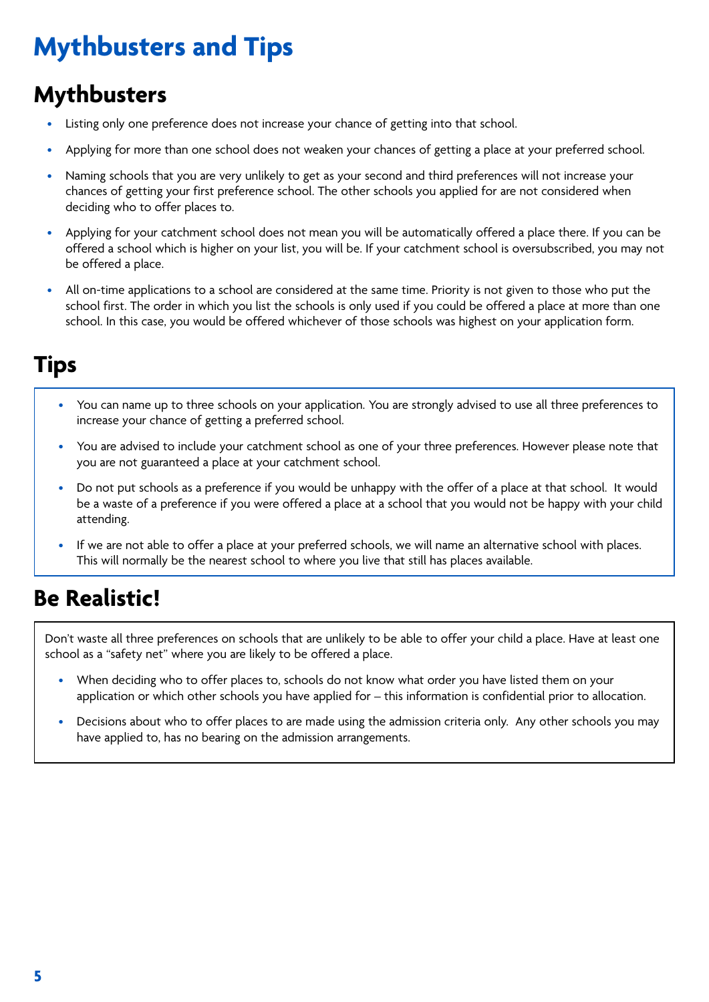# **Mythbusters and Tips**

## **Mythbusters**

- Listing only one preference does not increase your chance of getting into that school.
- Applying for more than one school does not weaken your chances of getting a place at your preferred school.
- Naming schools that you are very unlikely to get as your second and third preferences will not increase your chances of getting your first preference school. The other schools you applied for are not considered when deciding who to offer places to.
- Applying for your catchment school does not mean you will be automatically offered a place there. If you can be offered a school which is higher on your list, you will be. If your catchment school is oversubscribed, you may not be offered a place.
- All on-time applications to a school are considered at the same time. Priority is not given to those who put the school first. The order in which you list the schools is only used if you could be offered a place at more than one school. In this case, you would be offered whichever of those schools was highest on your application form.

## **Tips**

- You can name up to three schools on your application. You are strongly advised to use all three preferences to increase your chance of getting a preferred school.
- You are advised to include your catchment school as one of your three preferences. However please note that you are not guaranteed a place at your catchment school.
- Do not put schools as a preference if you would be unhappy with the offer of a place at that school. It would be a waste of a preference if you were offered a place at a school that you would not be happy with your child attending.
- If we are not able to offer a place at your preferred schools, we will name an alternative school with places. This will normally be the nearest school to where you live that still has places available.

## **Be Realistic!**

Don't waste all three preferences on schools that are unlikely to be able to offer your child a place. Have at least one school as a "safety net" where you are likely to be offered a place.

- When deciding who to offer places to, schools do not know what order you have listed them on your application or which other schools you have applied for – this information is confidential prior to allocation.
- Decisions about who to offer places to are made using the admission criteria only. Any other schools you may have applied to, has no bearing on the admission arrangements.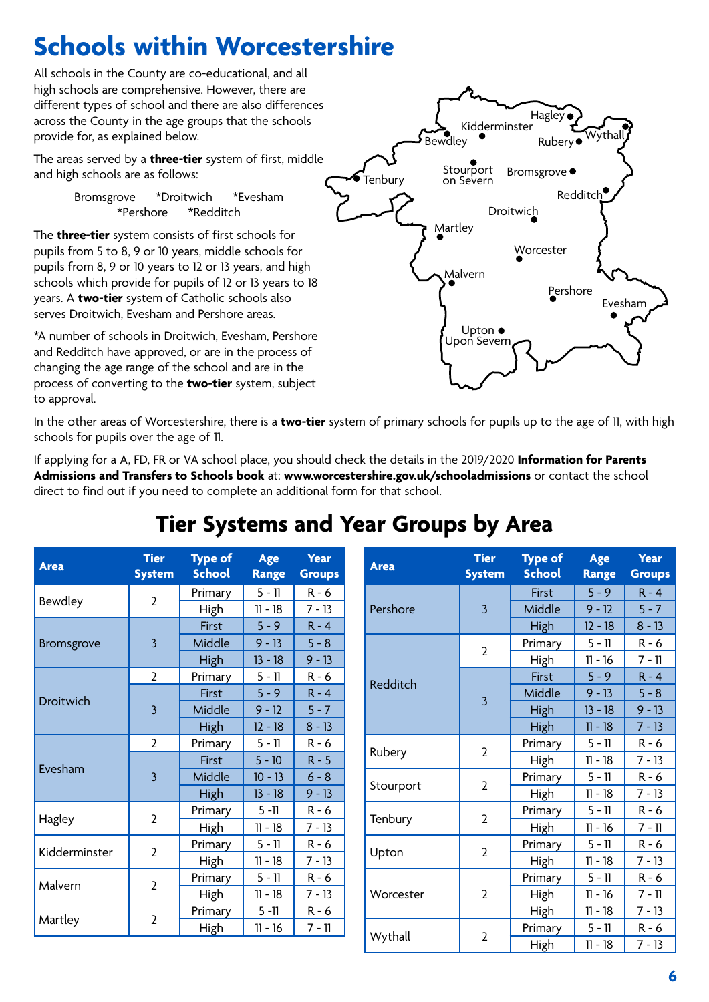# **Schools within Worcestershire**

All schools in the County are co-educational, and all high schools are comprehensive. However, there are different types of school and there are also differences across the County in the age groups that the schools provide for, as explained below.

The areas served by a **three-tier** system of first, middle and high schools are as follows:

> Bromsgrove \*Droitwich \*Evesham \*Pershore \*Redditch

The **three-tier** system consists of first schools for pupils from 5 to 8, 9 or 10 years, middle schools for pupils from 8, 9 or 10 years to 12 or 13 years, and high schools which provide for pupils of 12 or 13 years to 18 years. A **two-tier** system of Catholic schools also serves Droitwich, Evesham and Pershore areas.

\*A number of schools in Droitwich, Evesham, Pershore and Redditch have approved, or are in the process of changing the age range of the school and are in the process of converting to the **two-tier** system, subject to approval.



In the other areas of Worcestershire, there is a **two-tier** system of primary schools for pupils up to the age of 11, with high schools for pupils over the age of 11.

If applying for a A, FD, FR or VA school place, you should check the details in the 2019/2020 **Information for Parents Admissions and Transfers to Schools book** at: **www.worcestershire.gov.uk/schooladmissions** or contact the school direct to find out if you need to complete an additional form for that school.

## **Tier Systems and Year Groups by Area**

| <b>Area</b>   | <b>Tier</b><br><b>System</b> | <b>Type of</b><br><b>School</b> | Age<br><b>Range</b> | <b>Year</b><br><b>Groups</b> | <b>Area</b> | <b>Tier</b><br><b>System</b> | <b>Type of</b><br><b>School</b> | Age<br><b>Range</b> | <b>Year</b><br><b>Groups</b> |
|---------------|------------------------------|---------------------------------|---------------------|------------------------------|-------------|------------------------------|---------------------------------|---------------------|------------------------------|
| Bewdley       | 2                            | Primary                         | $5 - 11$            | $R - 6$                      |             |                              | First                           | $5 - 9$             | $R - 4$                      |
|               |                              | High                            | $11 - 18$           | $7 - 13$                     | Pershore    | 3                            | Middle                          | $9 - 12$            | $5 - 7$                      |
| Bromsgrove    | 3                            | First                           | $5 - 9$             | $R - 4$                      |             |                              | High                            | $12 - 18$           | $8 - 13$                     |
|               |                              | Middle                          | $9 - 13$            | $5 - 8$                      |             | $\overline{2}$               | Primary                         | $5 - 11$            | $R - 6$                      |
|               |                              | High                            | $13 - 18$           | $9 - 13$                     |             |                              | High                            | $11 - 16$           | $7 - 11$                     |
|               | $\overline{2}$               | Primary                         | $5 - 11$            | $R - 6$                      |             |                              | First                           | $5 - 9$             | $R - 4$                      |
|               |                              | <b>First</b>                    | $5 - 9$             | $R - 4$                      | Redditch    | $\overline{3}$               | Middle                          | $9 - 13$            | $5 - 8$                      |
| Droitwich     | $\overline{3}$               | Middle                          | $9 - 12$            | $5 - 7$                      |             |                              | <b>High</b>                     | $13 - 18$           | $9 - 13$                     |
|               |                              | <b>High</b>                     | $12 - 18$           | $8 - 13$                     |             |                              | <b>High</b>                     | $11 - 18$           | $7 - 13$                     |
| Evesham       | $\overline{2}$               | Primary                         | $5 - 11$            | $R - 6$                      |             |                              | Primary                         | $5 - 11$            | $R - 6$                      |
|               | $\overline{3}$               | First                           | $5 - 10$            | $R - 5$                      | Rubery      | $\overline{2}$               | High                            | $11 - 18$           | $7 - 13$                     |
|               |                              | Middle                          | $10 - 13$           | $6 - 8$                      |             |                              | Primary                         | $5 - 11$            | $R - 6$                      |
|               |                              | High                            | $13 - 18$           | $9 - 13$                     | Stourport   | $\overline{2}$               | High                            | $11 - 18$           | $7 - 13$                     |
| Hagley        | $\overline{2}$               | Primary                         | $5 - 11$            | $R - 6$                      |             |                              | Primary                         | $5 - 11$            | $R - 6$                      |
|               |                              | High                            | $11 - 18$           | $7 - 13$                     | Tenbury     | $\overline{2}$               | High                            | $11 - 16$           | $7 - 11$                     |
|               | $\overline{2}$               | Primary                         | $5 - 11$            | $R - 6$                      |             |                              | Primary                         | $5 - 11$            | $R - 6$                      |
| Kidderminster |                              | High                            | $11 - 18$           | $7 - 13$                     | Upton       | $\overline{2}$               | High                            | $11 - 18$           | $7 - 13$                     |
| Malvern       | $\overline{2}$               | Primary                         | $5 - 11$            | $R - 6$                      |             |                              | Primary                         | $5 - 11$            | $R - 6$                      |
|               |                              | High                            | $11 - 18$           | $7 - 13$                     | Worcester   | 2                            | High                            | $11 - 16$           | $7 - 11$                     |
| Martley       | 2                            | Primary                         | $5 - 11$            | $R - 6$                      |             |                              | High                            | $11 - 18$           | $7 - 13$                     |
|               |                              | High                            | $11 - 16$           | $7 - 11$                     |             |                              | Primary                         | $5 - 11$            | $R - 6$                      |
|               |                              |                                 |                     |                              | Wythall     | $\overline{2}$               | High                            | $11 - 18$           | $7 - 13$                     |